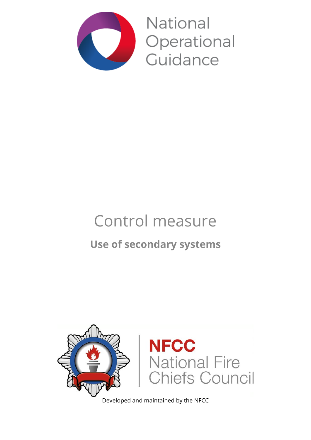

National Operational Guidance

# Control measure

## **Use of secondary systems**



Developed and maintained by the NFCC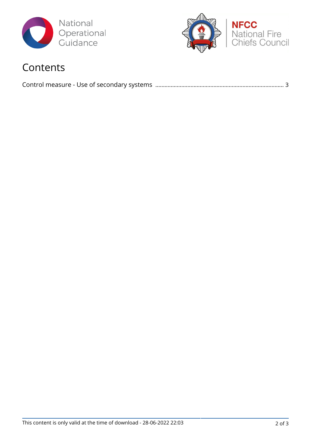



### Contents